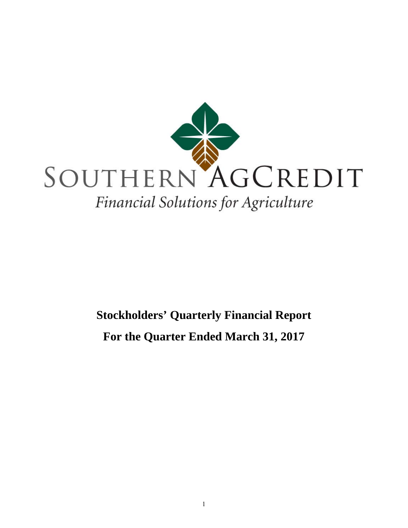

# **Stockholders' Quarterly Financial Report For the Quarter Ended March 31, 2017**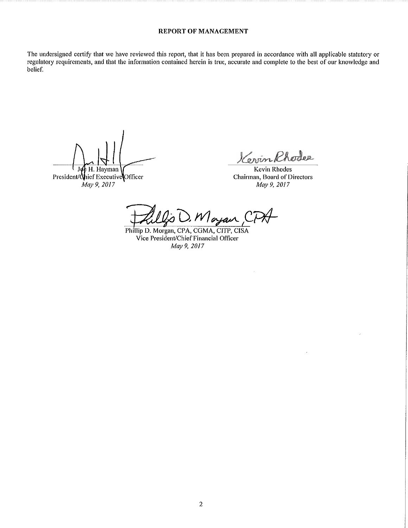#### **REPORT OF MANAGEMENT**

The undersigned certify that we have reviewed this report, that it has been prepared in accordance with all applicable statutory or regulatory requirements, and that the information contained herein is true, accurate and complete to the best of our knowledge and belief.

e H. Hayman

President/Chief Executive Officer May 9, 2017

oprin

**Kevin Rhodes** Chairman, Board of Directors May 9, 2017

Moyan

Phillip D. Morgan, CPA, CGMA, CITP, CISA Vice President/Chief Financial Officer May 9, 2017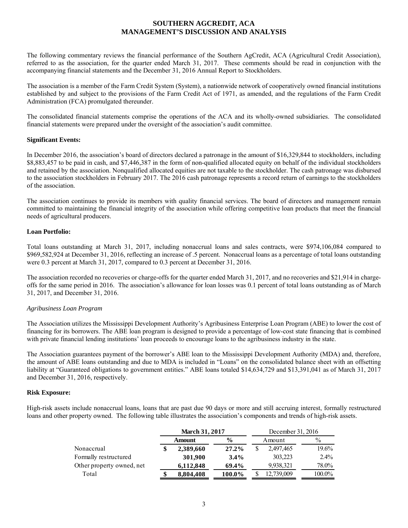# **SOUTHERN AGCREDIT, ACA MANAGEMENT'S DISCUSSION AND ANALYSIS**

The following commentary reviews the financial performance of the Southern AgCredit, ACA (Agricultural Credit Association), referred to as the association, for the quarter ended March 31, 2017. These comments should be read in conjunction with the accompanying financial statements and the December 31, 2016 Annual Report to Stockholders.

The association is a member of the Farm Credit System (System), a nationwide network of cooperatively owned financial institutions established by and subject to the provisions of the Farm Credit Act of 1971, as amended, and the regulations of the Farm Credit Administration (FCA) promulgated thereunder.

The consolidated financial statements comprise the operations of the ACA and its wholly-owned subsidiaries. The consolidated financial statements were prepared under the oversight of the association's audit committee.

#### **Significant Events:**

In December 2016, the association's board of directors declared a patronage in the amount of \$16,329,844 to stockholders, including \$8,883,457 to be paid in cash, and \$7,446,387 in the form of non-qualified allocated equity on behalf of the individual stockholders and retained by the association. Nonqualified allocated equities are not taxable to the stockholder. The cash patronage was disbursed to the association stockholders in February 2017. The 2016 cash patronage represents a record return of earnings to the stockholders of the association.

The association continues to provide its members with quality financial services. The board of directors and management remain committed to maintaining the financial integrity of the association while offering competitive loan products that meet the financial needs of agricultural producers.

# **Loan Portfolio:**

Total loans outstanding at March 31, 2017, including nonaccrual loans and sales contracts, were \$974,106,084 compared to \$969,582,924 at December 31, 2016, reflecting an increase of .5 percent. Nonaccrual loans as a percentage of total loans outstanding were 0.3 percent at March 31, 2017, compared to 0.3 percent at December 31, 2016.

The association recorded no recoveries or charge-offs for the quarter ended March 31, 2017, and no recoveries and \$21,914 in chargeoffs for the same period in 2016. The association's allowance for loan losses was 0.1 percent of total loans outstanding as of March 31, 2017, and December 31, 2016.

# *Agribusiness Loan Program*

The Association utilizes the Mississippi Development Authority's Agribusiness Enterprise Loan Program (ABE) to lower the cost of financing for its borrowers. The ABE loan program is designed to provide a percentage of low-cost state financing that is combined with private financial lending institutions' loan proceeds to encourage loans to the agribusiness industry in the state.

The Association guarantees payment of the borrower's ABE loan to the Mississippi Development Authority (MDA) and, therefore, the amount of ABE loans outstanding and due to MDA is included in "Loans" on the consolidated balance sheet with an offsetting liability at "Guaranteed obligations to government entities." ABE loans totaled \$14,634,729 and \$13,391,041 as of March 31, 2017 and December 31, 2016, respectively.

#### **Risk Exposure:**

High-risk assets include nonaccrual loans, loans that are past due 90 days or more and still accruing interest, formally restructured loans and other property owned. The following table illustrates the association's components and trends of high-risk assets.

|                           |    | <b>March 31, 2017</b> |               |  | December 31, 2016 |               |  |  |
|---------------------------|----|-----------------------|---------------|--|-------------------|---------------|--|--|
|                           |    | <b>Amount</b>         | $\frac{6}{6}$ |  | Amount            | $\frac{0}{0}$ |  |  |
| Nonaccrual                | \$ | 2,389,660             | $27.2\%$      |  | 2,497,465         | 19.6%         |  |  |
| Formally restructured     |    | 301,900               | $3.4\%$       |  | 303.223           | $2.4\%$       |  |  |
| Other property owned, net |    | 6,112,848             | 69.4%         |  | 9,938,321         | 78.0%         |  |  |
| Total                     | S  | 8,804,408             | 100.0%        |  | 12,739,009        | $100.0\%$     |  |  |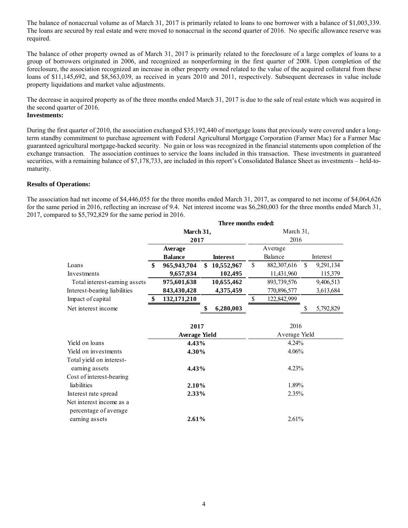The balance of nonaccrual volume as of March 31, 2017 is primarily related to loans to one borrower with a balance of \$1,003,339. The loans are secured by real estate and were moved to nonaccrual in the second quarter of 2016. No specific allowance reserve was required.

The balance of other property owned as of March 31, 2017 is primarily related to the foreclosure of a large complex of loans to a group of borrowers originated in 2006, and recognized as nonperforming in the first quarter of 2008. Upon completion of the foreclosure, the association recognized an increase in other property owned related to the value of the acquired collateral from these loans of \$11,145,692, and \$8,563,039, as received in years 2010 and 2011, respectively. Subsequent decreases in value include property liquidations and market value adjustments.

The decrease in acquired property as of the three months ended March 31, 2017 is due to the sale of real estate which was acquired in the second quarter of 2016.

# **Investments:**

During the first quarter of 2010, the association exchanged \$35,192,440 of mortgage loans that previously were covered under a longterm standby commitment to purchase agreement with Federal Agricultural Mortgage Corporation (Farmer Mac) for a Farmer Mac guaranteed agricultural mortgage-backed security. No gain or loss was recognized in the financial statements upon completion of the exchange transaction. The association continues to service the loans included in this transaction. These investments in guaranteed securities, with a remaining balance of \$7,178,733, are included in this report's Consolidated Balance Sheet as investments – held-tomaturity.

# **Results of Operations:**

The association had net income of \$4,446,055 for the three months ended March 31, 2017, as compared to net income of \$4,064,626 for the same period in 2016, reflecting an increase of 9.4. Net interest income was \$6,280,003 for the three months ended March 31, 2017, compared to \$5,792,829 for the same period in 2016.

|                               | Three months ended: |                      |    |                 |       |               |    |           |
|-------------------------------|---------------------|----------------------|----|-----------------|-------|---------------|----|-----------|
|                               | March 31,           |                      |    | March 31,       |       |               |    |           |
|                               |                     | 2017                 |    |                 |       | 2016          |    |           |
|                               |                     | Average              |    |                 |       | Average       |    |           |
|                               |                     | <b>Balance</b>       |    | <b>Interest</b> |       | Balance       |    | Interest  |
| Loans                         | \$                  | 965,943,704          | \$ | 10,552,967      | \$    | 882, 307, 616 | \$ | 9,291,134 |
| Investments                   |                     | 9,657,934            |    | 102,495         |       | 11,431,960    |    | 115,379   |
| Total interest-earning assets |                     | 975,601,638          |    | 10,655,462      |       | 893,739,576   |    | 9,406,513 |
| Interest-bearing liabilities  |                     | 843,430,428          |    | 4,375,459       |       | 770,896,577   |    | 3,613,684 |
| Impact of capital             | \$                  | 132,171,210          |    |                 | \$    | 122,842,999   |    |           |
| Net interest income           |                     |                      | \$ | 6,280,003       |       |               | S  | 5,792,829 |
|                               |                     |                      |    |                 |       |               |    |           |
|                               |                     | 2017                 |    |                 |       | 2016          |    |           |
|                               |                     | <b>Average Yield</b> |    |                 |       | Average Yield |    |           |
| Yield on loans                |                     | 4.43%                |    |                 | 4.24% |               |    |           |
| Yield on investments          |                     | 4.30%                |    |                 | 4.06% |               |    |           |
| Total yield on interest-      |                     |                      |    |                 |       |               |    |           |
| earning assets                |                     | 4.43%                |    |                 |       | 4.23%         |    |           |
| Cost of interest-bearing      |                     |                      |    |                 |       |               |    |           |
| liabilities                   |                     | 2.10%                |    |                 |       | 1.89%         |    |           |
| Interest rate spread          |                     | 2.33%                |    |                 |       | 2.35%         |    |           |
| Net interest income as a      |                     |                      |    |                 |       |               |    |           |
| percentage of average         |                     |                      |    |                 |       |               |    |           |
| earning assets                |                     | 2.61%                |    |                 |       | 2.61%         |    |           |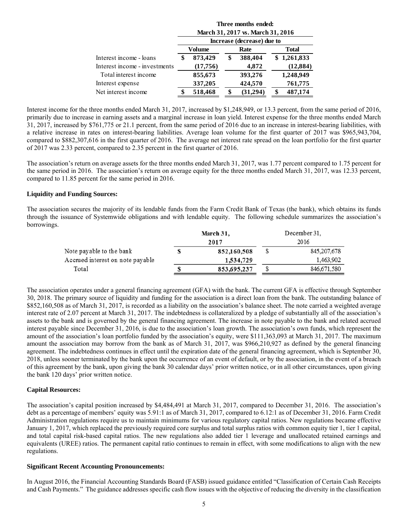|                               | Three months ended:<br>March 31, 2017 vs. March 31, 2016 |          |    |                            |  |             |
|-------------------------------|----------------------------------------------------------|----------|----|----------------------------|--|-------------|
|                               |                                                          |          |    | Increase (decrease) due to |  |             |
|                               |                                                          | Volume   |    | Rate                       |  | Total       |
| Interest income - loans       | \$                                                       | 873,429  | \$ | 388,404                    |  | \$1,261,833 |
| Interest income - investments |                                                          | (17,756) |    | 4,872                      |  | (12, 884)   |
| Total interest income         |                                                          | 855,673  |    | 393,276                    |  | 1,248,949   |
| Interest expense              |                                                          | 337,205  |    | 424,570                    |  | 761,775     |
| Net interest income           |                                                          | 518,468  |    | (31,294)                   |  | 487,174     |

Interest income for the three months ended March 31, 2017, increased by \$1,248,949, or 13.3 percent, from the same period of 2016, primarily due to increase in earning assets and a marginal increase in loan yield. Interest expense for the three months ended March 31, 2017, increased by \$761,775 or 21.1 percent, from the same period of 2016 due to an increase in interest-bearing liabilities, with a relative increase in rates on interest-bearing liabilities. Average loan volume for the first quarter of 2017 was \$965,943,704, compared to \$882,307,616 in the first quarter of 2016. The average net interest rate spread on the loan portfolio for the first quarter of 2017 was 2.33 percent, compared to 2.35 percent in the first quarter of 2016.

The association's return on average assets for the three months ended March 31, 2017, was 1.77 percent compared to 1.75 percent for the same period in 2016. The association's return on average equity for the three months ended March 31, 2017, was 12.33 percent, compared to 11.85 percent for the same period in 2016.

#### **Liquidity and Funding Sources:**

The association secures the majority of its lendable funds from the Farm Credit Bank of Texas (the bank), which obtains its funds through the issuance of Systemwide obligations and with lendable equity. The following schedule summarizes the association's borrowings.

|                                  | March 31,   | December 31,<br>2016 |             |  |
|----------------------------------|-------------|----------------------|-------------|--|
|                                  | 2017        |                      |             |  |
| Note payable to the bank         | 852,160,508 |                      | 845,207,678 |  |
| Accrued interest on note payable | 1,534,729   |                      | 1,463,902   |  |
| Total                            | 853,695,237 |                      | 846,671,580 |  |

The association operates under a general financing agreement (GFA) with the bank. The current GFA is effective through September 30, 2018. The primary source of liquidity and funding for the association is a direct loan from the bank. The outstanding balance of \$852,160,508 as of March 31, 2017, is recorded as a liability on the association's balance sheet. The note carried a weighted average interest rate of 2.07 percent at March 31, 2017. The indebtedness is collateralized by a pledge of substantially all of the association's assets to the bank and is governed by the general financing agreement. The increase in note payable to the bank and related accrued interest payable since December 31, 2016, is due to the association's loan growth. The association's own funds, which represent the amount of the association's loan portfolio funded by the association's equity, were \$111,363,093 at March 31, 2017. The maximum amount the association may borrow from the bank as of March 31, 2017, was \$966,210,927 as defined by the general financing agreement. The indebtedness continues in effect until the expiration date of the general financing agreement, which is September 30, 2018, unless sooner terminated by the bank upon the occurrence of an event of default, or by the association, in the event of a breach of this agreement by the bank, upon giving the bank 30 calendar days' prior written notice, or in all other circumstances, upon giving the bank 120 days' prior written notice.

#### **Capital Resources:**

The association's capital position increased by \$4,484,491 at March 31, 2017, compared to December 31, 2016. The association's debt as a percentage of members' equity was 5.91:1 as of March 31, 2017, compared to 6.12:1 as of December 31, 2016. Farm Credit Administration regulations require us to maintain minimums for various regulatory capital ratios. New regulations became effective January 1, 2017, which replaced the previously required core surplus and total surplus ratios with common equity tier 1, tier 1 capital, and total capital risk-based capital ratios. The new regulations also added tier 1 leverage and unallocated retained earnings and equivalents (UREE) ratios. The permanent capital ratio continues to remain in effect, with some modifications to align with the new regulations.

#### **Significant Recent Accounting Pronouncements:**

In August 2016, the Financial Accounting Standards Board (FASB) issued guidance entitled "Classification of Certain Cash Receipts and Cash Payments." The guidance addresses specific cash flow issues with the objective of reducing the diversity in the classification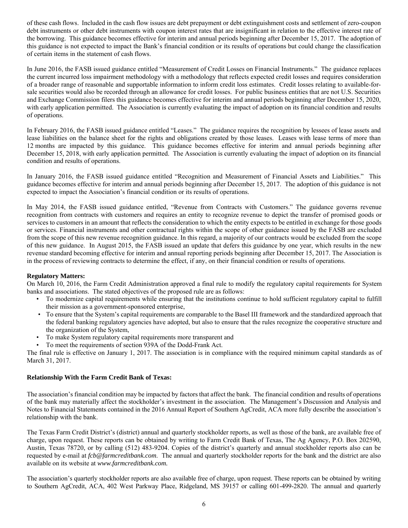of these cash flows. Included in the cash flow issues are debt prepayment or debt extinguishment costs and settlement of zero-coupon debt instruments or other debt instruments with coupon interest rates that are insignificant in relation to the effective interest rate of the borrowing. This guidance becomes effective for interim and annual periods beginning after December 15, 2017. The adoption of this guidance is not expected to impact the Bank's financial condition or its results of operations but could change the classification of certain items in the statement of cash flows.

In June 2016, the FASB issued guidance entitled "Measurement of Credit Losses on Financial Instruments." The guidance replaces the current incurred loss impairment methodology with a methodology that reflects expected credit losses and requires consideration of a broader range of reasonable and supportable information to inform credit loss estimates. Credit losses relating to available-forsale securities would also be recorded through an allowance for credit losses. For public business entities that are not U.S. Securities and Exchange Commission filers this guidance becomes effective for interim and annual periods beginning after December 15, 2020, with early application permitted. The Association is currently evaluating the impact of adoption on its financial condition and results of operations.

In February 2016, the FASB issued guidance entitled "Leases." The guidance requires the recognition by lessees of lease assets and lease liabilities on the balance sheet for the rights and obligations created by those leases. Leases with lease terms of more than 12 months are impacted by this guidance. This guidance becomes effective for interim and annual periods beginning after December 15, 2018, with early application permitted. The Association is currently evaluating the impact of adoption on its financial condition and results of operations.

In January 2016, the FASB issued guidance entitled "Recognition and Measurement of Financial Assets and Liabilities." This guidance becomes effective for interim and annual periods beginning after December 15, 2017. The adoption of this guidance is not expected to impact the Association's financial condition or its results of operations.

In May 2014, the FASB issued guidance entitled, "Revenue from Contracts with Customers." The guidance governs revenue recognition from contracts with customers and requires an entity to recognize revenue to depict the transfer of promised goods or services to customers in an amount that reflects the consideration to which the entity expects to be entitled in exchange for those goods or services. Financial instruments and other contractual rights within the scope of other guidance issued by the FASB are excluded from the scope of this new revenue recognition guidance. In this regard, a majority of our contracts would be excluded from the scope of this new guidance. In August 2015, the FASB issued an update that defers this guidance by one year, which results in the new revenue standard becoming effective for interim and annual reporting periods beginning after December 15, 2017. The Association is in the process of reviewing contracts to determine the effect, if any, on their financial condition or results of operations.

# **Regulatory Matters:**

On March 10, 2016, the Farm Credit Administration approved a final rule to modify the regulatory capital requirements for System banks and associations. The stated objectives of the proposed rule are as follows:

- To modernize capital requirements while ensuring that the institutions continue to hold sufficient regulatory capital to fulfill their mission as a government-sponsored enterprise,
- To ensure that the System's capital requirements are comparable to the Basel III framework and the standardized approach that the federal banking regulatory agencies have adopted, but also to ensure that the rules recognize the cooperative structure and the organization of the System,
- To make System regulatory capital requirements more transparent and
- To meet the requirements of section 939A of the Dodd-Frank Act.

The final rule is effective on January 1, 2017. The association is in compliance with the required minimum capital standards as of March 31, 2017.

# **Relationship With the Farm Credit Bank of Texas:**

The association's financial condition may be impacted by factors that affect the bank. The financial condition and results of operations of the bank may materially affect the stockholder's investment in the association. The Management's Discussion and Analysis and Notes to Financial Statements contained in the 2016 Annual Report of Southern AgCredit, ACA more fully describe the association's relationship with the bank.

The Texas Farm Credit District's (district) annual and quarterly stockholder reports, as well as those of the bank, are available free of charge, upon request. These reports can be obtained by writing to Farm Credit Bank of Texas, The Ag Agency, P.O. Box 202590, Austin, Texas 78720, or by calling (512) 483-9204. Copies of the district's quarterly and annual stockholder reports also can be requested by e-mail at *fcb@farmcreditbank.com*. The annual and quarterly stockholder reports for the bank and the district are also available on its website at *www.farmcreditbank.com.* 

The association's quarterly stockholder reports are also available free of charge, upon request. These reports can be obtained by writing to Southern AgCredit, ACA, 402 West Parkway Place, Ridgeland, MS 39157 or calling 601-499-2820. The annual and quarterly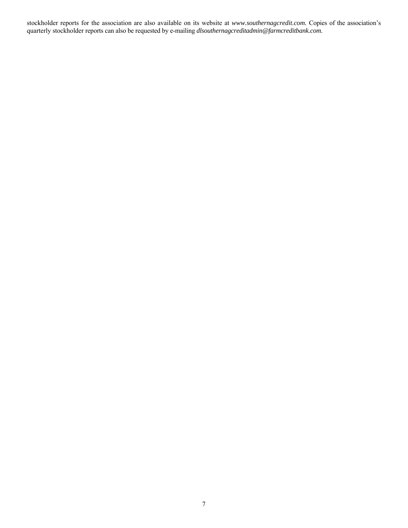stockholder reports for the association are also available on its website at *www.southernagcredit.com.* Copies of the association's quarterly stockholder reports can also be requested by e-mailing *dlsouthernagcreditadmin@farmcreditbank.com.*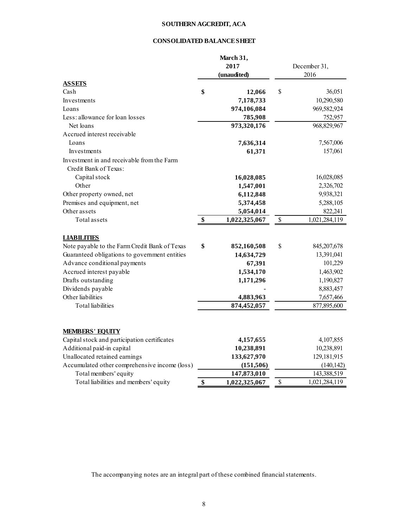# **SOUTHERN AGCREDIT, ACA**

# **CONSOLIDATED BALANCE SHEET**

|                                               | March 31,<br>2017<br>(unaudited) |               | December 31,<br>2016 |
|-----------------------------------------------|----------------------------------|---------------|----------------------|
| <b>ASSETS</b><br>Cash                         | \$                               | $\mathcal{S}$ |                      |
|                                               | 12,066<br>7,178,733              |               | 36,051<br>10,290,580 |
| Investments<br>Loans                          | 974,106,084                      |               | 969,582,924          |
|                                               |                                  |               |                      |
| Less: allowance for loan losses               | 785,908                          |               | 752,957              |
| Net loans                                     | 973,320,176                      |               | 968,829,967          |
| Accrued interest receivable                   |                                  |               |                      |
| Loans                                         | 7,636,314                        |               | 7,567,006            |
| Investments                                   | 61,371                           |               | 157,061              |
| Investment in and receivable from the Farm    |                                  |               |                      |
| Credit Bank of Texas:                         |                                  |               |                      |
| Capital stock                                 | 16,028,085                       |               | 16,028,085           |
| Other                                         | 1,547,001                        |               | 2,326,702            |
| Other property owned, net                     | 6,112,848                        |               | 9,938,321            |
| Premises and equipment, net                   | 5,374,458                        |               | 5,288,105            |
| Other assets                                  | 5,054,014                        |               | 822,241              |
| Total assets                                  | \$<br>1,022,325,067              | $\mathbb{S}$  | 1,021,284,119        |
| <b>LIABILITIES</b>                            |                                  |               |                      |
| Note payable to the Farm Credit Bank of Texas | \$<br>852,160,508                | \$            | 845, 207, 678        |
| Guaranteed obligations to government entities | 14,634,729                       |               | 13,391,041           |
| Advance conditional payments                  | 67,391                           |               | 101,229              |
| Accrued interest payable                      | 1,534,170                        |               | 1,463,902            |
| Drafts outstanding                            | 1,171,296                        |               | 1,190,827            |
| Dividends payable                             |                                  |               | 8,883,457            |
| Other liabilities                             | 4,883,963                        |               | 7,657,466            |
| <b>Total liabilities</b>                      | 874,452,057                      |               | 877,895,600          |
| <b>MEMBERS' EQUITY</b>                        |                                  |               |                      |
| Capital stock and participation certificates  | 4,157,655                        |               | 4,107,855            |
| Additional paid-in capital                    | 10,238,891                       |               | 10,238,891           |
| Unallocated retained earnings                 | 133,627,970                      |               | 129, 181, 915        |
| Accumulated other comprehensive income (loss) | (151, 506)                       |               | (140, 142)           |
| Total members' equity                         | 147,873,010                      |               | 143,388,519          |
| Total liabilities and members' equity         | \$<br>1,022,325,067              | \$            | 1,021,284,119        |

The accompanying notes are an integral part of these combined financial statements.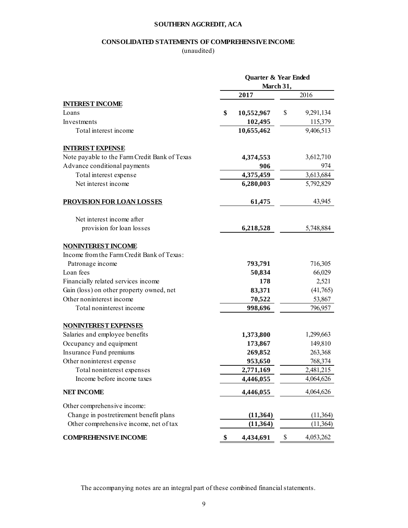# **SOUTHERN AGCREDIT, ACA**

# **CONSOLIDATED STATEMENTS OF COMPREHENSIVE INCOME**

(unaudited)

|                                               | Quarter & Year Ended<br>March 31, |                 |  |
|-----------------------------------------------|-----------------------------------|-----------------|--|
|                                               | 2017                              | 2016            |  |
| <b>INTEREST INCOME</b>                        |                                   |                 |  |
| Loans                                         | \$<br>10,552,967                  | \$<br>9,291,134 |  |
| Investments                                   | 102,495                           | 115,379         |  |
| Total interest income                         | 10,655,462                        | 9,406,513       |  |
| <b>INTEREST EXPENSE</b>                       |                                   |                 |  |
| Note payable to the Farm Credit Bank of Texas | 4,374,553                         | 3,612,710       |  |
| Advance conditional payments                  | 906                               | 974             |  |
| Total interest expense                        | 4,375,459                         | 3,613,684       |  |
| Net interest income                           | 6,280,003                         | 5,792,829       |  |
| <b>PROVISION FOR LOAN LOSSES</b>              | 61,475                            | 43,945          |  |
| Net interest income after                     |                                   |                 |  |
| provision for loan losses                     | 6,218,528                         | 5,748,884       |  |
| <b>NONINTEREST INCOME</b>                     |                                   |                 |  |
| Income from the Farm Credit Bank of Texas:    |                                   |                 |  |
| Patronage income                              | 793,791                           | 716,305         |  |
| Loan fees                                     | 50,834                            | 66,029          |  |
| Financially related services income           | 178                               | 2,521           |  |
| Gain (loss) on other property owned, net      | 83,371                            | (41,765)        |  |
| Other noninterest income                      | 70,522                            | 53,867          |  |
| Total noninterest income                      | 998,696                           | 796,957         |  |
| <b>NONINTEREST EXPENSES</b>                   |                                   |                 |  |
| Salaries and employee benefits                | 1,373,800                         | 1,299,663       |  |
| Occupancy and equipment                       | 173,867                           | 149,810         |  |
| Insurance Fund premiums                       | 269,852                           | 263,368         |  |
| Other noninterest expense                     | 953,650                           | 768,374         |  |
| Total noninterest expenses                    | 2,771,169                         | 2,481,215       |  |
| Income before income taxes                    | 4,446,055                         | 4,064,626       |  |
| <b>NET INCOME</b>                             | 4,446,055                         | 4,064,626       |  |
| Other comprehensive income:                   |                                   |                 |  |
| Change in postretirement benefit plans        | (11, 364)                         | (11, 364)       |  |
| Other comprehensive income, net of tax        | (11, 364)                         | (11, 364)       |  |
| <b>COMPREHENSIVE INCOME</b>                   | 4,434,691<br>\$                   | 4,053,262<br>\$ |  |

The accompanying notes are an integral part of these combined financial statements.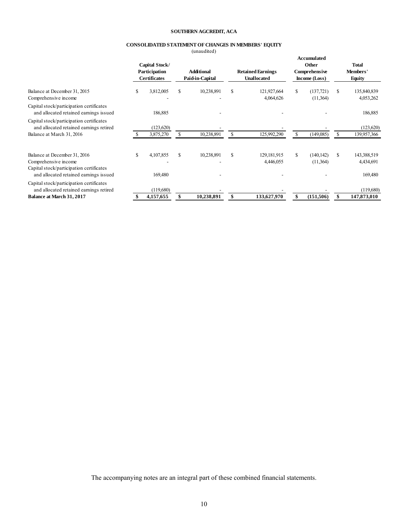#### **SOUTHERN AGCREDIT, ACA**

#### **CONSOLIDATED STATEMENT OF CHANGES IN MEMBERS' EQUITY** (unaudited)

|                                                                                     |    | Capital Stock/<br>Participation<br><b>Certificates</b> |    | Additional<br>Paid-in-Capital | <b>Retained Earnings</b><br><b>Unallocated</b> |    | <b>Accumulated</b><br>Other<br>Comprehensive<br>Income (Loss) |    | <b>Total</b><br>Members'<br>Equity |
|-------------------------------------------------------------------------------------|----|--------------------------------------------------------|----|-------------------------------|------------------------------------------------|----|---------------------------------------------------------------|----|------------------------------------|
| Balance at December 31, 2015                                                        | S  | 3,812,005                                              | S  | 10,238,891                    | \$<br>121,927,664                              | S. | (137, 721)                                                    | S  | 135,840,839                        |
| Comprehensive income                                                                |    |                                                        |    |                               | 4,064,626                                      |    | (11,364)                                                      |    | 4,053,262                          |
| Capital stock/participation certificates<br>and allocated retained earnings issued  |    | 186,885                                                |    |                               |                                                |    |                                                               |    | 186,885                            |
| Capital stock/participation certificates<br>and allocated retained earnings retired |    | (123, 620)                                             |    |                               |                                                |    |                                                               |    | (123, 620)                         |
| Balance at March 31, 2016                                                           |    | 3,875,270                                              | S  | 10,238,891                    | 125,992,290                                    |    | (149, 085)                                                    |    | 139,957,366                        |
| Balance at December 31, 2016                                                        | \$ | 4,107,855                                              | S  | 10,238,891                    | \$<br>129, 181, 915                            | S. | (140, 142)                                                    | \$ | 143,388,519                        |
| Comprehensive income                                                                |    |                                                        |    |                               | 4,446,055                                      |    | (11,364)                                                      |    | 4,434,691                          |
| Capital stock/participation certificates<br>and allocated retained earnings issued  |    | 169,480                                                |    |                               |                                                |    |                                                               |    | 169,480                            |
| Capital stock/participation certificates<br>and allocated retained earnings retired |    | (119,680)                                              |    |                               |                                                |    |                                                               |    | (119,680)                          |
| Balance at March 31, 2017                                                           | S  | 4,157,655                                              | \$ | 10,238,891                    | \$<br>133,627,970                              | \$ | (151,506)                                                     |    | 147,873,010                        |

The accompanying notes are an integral part of these combined financial statements.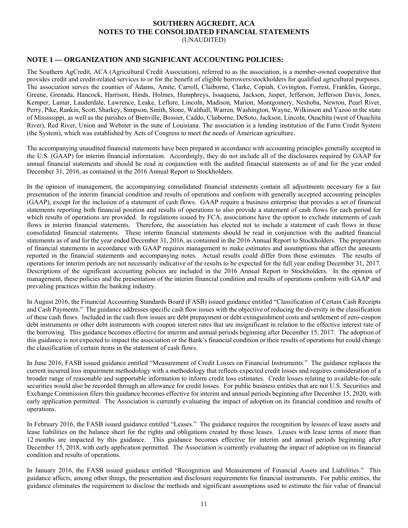#### **SOUTHERN AGCREDIT, ACA NOTES TO THE CONSOLIDATED FINANCIAL STATEMENTS**  (UNAUDITED)

# **NOTE 1 — ORGANIZATION AND SIGNIFICANT ACCOUNTING POLICIES:**

The Southern AgCredit, ACA (Agricultural Credit Association), referred to as the association, is a member-owned cooperative that provides credit and credit-related services to or for the benefit of eligible borrowers/stockholders for qualified agricultural purposes. The association serves the counties of Adams, Amite, Carroll, Claiborne, Clarke, Copiah, Covington, Forrest, Franklin, George, Greene, Grenada, Hancock, Harrison, Hinds, Holmes, Humphreys, Issaquena, Jackson, Jasper, Jefferson, Jefferson Davis, Jones, Kemper, Lamar, Lauderdale, Lawrence, Leake, Leflore, Lincoln, Madison, Marion, Montgomery, Neshoba, Newton, Pearl River, Perry, Pike, Rankin, Scott, Sharkey, Simpson, Smith, Stone, Walthall, Warren, Washington, Wayne, Wilkinson and Yazoo in the state of Mississippi, as well as the parishes of Bienville, Bossier, Caddo, Claiborne, DeSoto, Jackson, Lincoln, Ouachita (west of Ouachita River), Red River, Union and Webster in the state of Louisiana. The association is a lending institution of the Farm Credit System (the System), which was established by Acts of Congress to meet the needs of American agriculture.

The accompanying unaudited financial statements have been prepared in accordance with accounting principles generally accepted in the U.S. (GAAP) for interim financial information. Accordingly, they do not include all of the disclosures required by GAAP for annual financial statements and should be read in conjunction with the audited financial statements as of and for the year ended December 31, 2016, as contained in the 2016 Annual Report to Stockholders.

In the opinion of management, the accompanying consolidated financial statements contain all adjustments necessary for a fair presentation of the interim financial condition and results of operations and conform with generally accepted accounting principles (GAAP), except for the inclusion of a statement of cash flows. GAAP require a business enterprise that provides a set of financial statements reporting both financial position and results of operations to also provide a statement of cash flows for each period for which results of operations are provided. In regulations issued by FCA, associations have the option to exclude statements of cash flows in interim financial statements. Therefore, the association has elected not to include a statement of cash flows in these consolidated financial statements. These interim financial statements should be read in conjunction with the audited financial statements as of and for the year ended December 31, 2016, as contained in the 2016 Annual Report to Stockholders. The preparation of financial statements in accordance with GAAP requires management to make estimates and assumptions that affect the amounts reported in the financial statements and accompanying notes. Actual results could differ from those estimates. The results of operations for interim periods are not necessarily indicative of the results to be expected for the full year ending December 31, 2017. Descriptions of the significant accounting policies are included in the 2016 Annual Report to Stockholders. In the opinion of management, these policies and the presentation of the interim financial condition and results of operations conform with GAAP and prevailing practices within the banking industry.

In August 2016, the Financial Accounting Standards Board (FASB) issued guidance entitled "Classification of Certain Cash Receipts and Cash Payments." The guidance addresses specific cash flow issues with the objective of reducing the diversity in the classification of these cash flows. Included in the cash flow issues are debt prepayment or debt extinguishment costs and settlement of zero-coupon debt instruments or other debt instruments with coupon interest rates that are insignificant in relation to the effective interest rate of the borrowing. This guidance becomes effective for interim and annual periods beginning after December 15, 2017. The adoption of this guidance is not expected to impact the association or the Bank's financial condition or their results of operations but could change the classification of certain items in the statement of cash flows.

In June 2016, FASB issued guidance entitled "Measurement of Credit Losses on Financial Instruments." The guidance replaces the current incurred loss impairment methodology with a methodology that reflects expected credit losses and requires consideration of a broader range of reasonable and supportable information to inform credit loss estimates. Credit losses relating to available-for-sale securities would also be recorded through an allowance for credit losses. For public business entities that are not U.S. Securities and Exchange Commission filers this guidance becomes effective for interim and annual periods beginning after December 15, 2020, with early application permitted. The Association is currently evaluating the impact of adoption on its financial condition and results of operations.

In February 2016, the FASB issued guidance entitled "Leases." The guidance requires the recognition by lessees of lease assets and lease liabilities on the balance sheet for the rights and obligations created by those leases. Leases with lease terms of more than 12 months are impacted by this guidance. This guidance becomes effective for interim and annual periods beginning after December 15, 2018, with early application permitted. The Association is currently evaluating the impact of adoption on its financial condition and results of operations.

In January 2016, the FASB issued guidance entitled "Recognition and Measurement of Financial Assets and Liabilities." This guidance affects, among other things, the presentation and disclosure requirements for financial instruments. For public entities, the guidance eliminates the requirement to disclose the methods and significant assumptions used to estimate the fair value of financial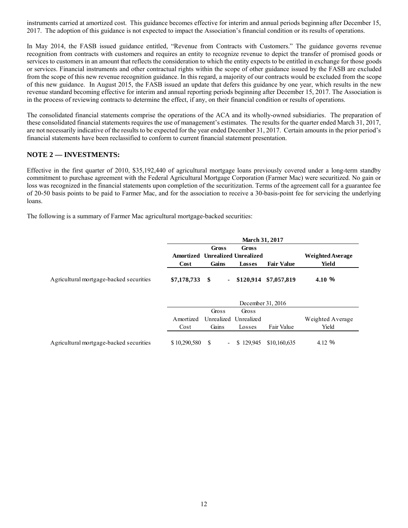instruments carried at amortized cost. This guidance becomes effective for interim and annual periods beginning after December 15, 2017. The adoption of this guidance is not expected to impact the Association's financial condition or its results of operations.

In May 2014, the FASB issued guidance entitled, "Revenue from Contracts with Customers." The guidance governs revenue recognition from contracts with customers and requires an entity to recognize revenue to depict the transfer of promised goods or services to customers in an amount that reflects the consideration to which the entity expects to be entitled in exchange for those goods or services. Financial instruments and other contractual rights within the scope of other guidance issued by the FASB are excluded from the scope of this new revenue recognition guidance. In this regard, a majority of our contracts would be excluded from the scope of this new guidance. In August 2015, the FASB issued an update that defers this guidance by one year, which results in the new revenue standard becoming effective for interim and annual reporting periods beginning after December 15, 2017. The Association is in the process of reviewing contracts to determine the effect, if any, on their financial condition or results of operations.

The consolidated financial statements comprise the operations of the ACA and its wholly-owned subsidiaries. The preparation of these consolidated financial statements requires the use of management's estimates. The results for the quarter ended March 31, 2017, are not necessarily indicative of the results to be expected for the year ended December 31, 2017. Certain amounts in the prior period's financial statements have been reclassified to conform to current financial statement presentation.

# **NOTE 2 — INVESTMENTS:**

Effective in the first quarter of 2010, \$35,192,440 of agricultural mortgage loans previously covered under a long-term standby commitment to purchase agreement with the Federal Agricultural Mortgage Corporation (Farmer Mac) were securitized. No gain or loss was recognized in the financial statements upon completion of the securitization. Terms of the agreement call for a guarantee fee of 20-50 basis points to be paid to Farmer Mac, and for the association to receive a 30-basis-point fee for servicing the underlying loans.

The following is a summary of Farmer Mac agricultural mortgage-backed securities:

|                                         |                   |                                | <b>March 31, 2017</b>                                  |                   |                                         |
|-----------------------------------------|-------------------|--------------------------------|--------------------------------------------------------|-------------------|-----------------------------------------|
|                                         | Amortized<br>Cost | Gross<br>Gains                 | <b>Gross</b><br><b>Unrealized Unrealized</b><br>Losses | <b>Fair Value</b> | <b>Weighted Average</b><br><b>Yield</b> |
| Agricultural mortgage-backed securities | \$7,178,733       | - \$<br>$\blacksquare$         | \$120,914                                              | \$7,057,819       | 4.10 %                                  |
|                                         |                   |                                | December 31, 2016                                      |                   |                                         |
|                                         | Amortized         | Gross<br>Unrealized            | Gross<br>Unrealized                                    |                   |                                         |
|                                         | Cost              | Gains                          | Losses                                                 | Fair Value        | Weighted Average<br>Yield               |
| Agricultural mortgage-backed securities | \$10,290,580      | \$<br>$\overline{\phantom{a}}$ | \$129,945                                              | \$10,160,635      | 4.12 $%$                                |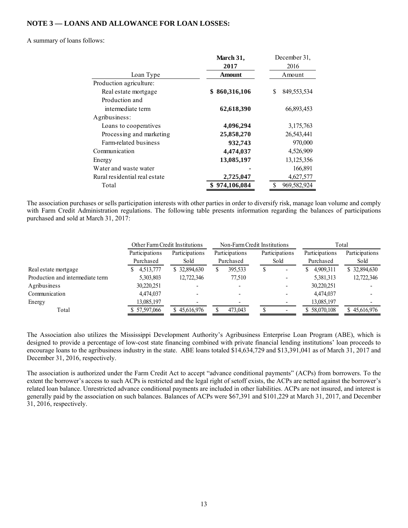# **NOTE 3 — LOANS AND ALLOWANCE FOR LOAN LOSSES:**

A summary of loans follows:

|                               | March 31,         | December 31,      |
|-------------------------------|-------------------|-------------------|
|                               | 2017              | 2016              |
| Loan Type                     | <b>Amount</b>     | Amount            |
| Production agriculture:       |                   |                   |
| Real estate mortgage          | 860,316,106<br>\$ | 849,553,534<br>\$ |
| Production and                |                   |                   |
| intermediate term             | 62,618,390        | 66,893,453        |
| Agribusiness:                 |                   |                   |
| Loans to cooperatives         | 4,096,294         | 3,175,763         |
| Processing and marketing      | 25,858,270        | 26,543,441        |
| Farm-related business         | 932,743           | 970,000           |
| Communication                 | 4,474,037         | 4,526,909         |
| Energy                        | 13,085,197        | 13, 125, 356      |
| Water and waste water         |                   | 166,891           |
| Rural residential real estate | 2,725,047         | 4,627,577         |
| Total                         | \$974,106,084     | 969,582,924<br>\$ |

The association purchases or sells participation interests with other parties in order to diversify risk, manage loan volume and comply with Farm Credit Administration regulations. The following table presents information regarding the balances of participations purchased and sold at March 31, 2017:

| Other Farm Credit Institutions |                |                |                | Total                        |                |  |
|--------------------------------|----------------|----------------|----------------|------------------------------|----------------|--|
| Participations                 | Participations | Participations | Participations | Participations               | Participations |  |
| Purchased                      | Sold           | Purchased      | Sold           | Purchased                    | Sold           |  |
| 4,513,777                      | \$32,894,630   | 395,533<br>S   | S              | 4,909,311<br>S               | \$32,894,630   |  |
| 5,303,803                      | 12,722,346     | 77,510         |                | 5,381,313                    | 12,722,346     |  |
| 30,220,251                     |                |                |                | 30,220,251                   |                |  |
| 4,474,037                      |                |                |                | 4.474.037                    |                |  |
| 13,085,197                     |                |                |                | 13,085,197                   |                |  |
| \$57,597,066                   | \$45,616,976   | 473,043        |                | \$58,070,108                 | \$45,616,976   |  |
|                                |                |                |                | Non-Farm Credit Institutions |                |  |

The Association also utilizes the Mississippi Development Authority's Agribusiness Enterprise Loan Program (ABE), which is designed to provide a percentage of low-cost state financing combined with private financial lending institutions' loan proceeds to encourage loans to the agribusiness industry in the state. ABE loans totaled \$14,634,729 and \$13,391,041 as of March 31, 2017 and December 31, 2016, respectively.

The association is authorized under the Farm Credit Act to accept "advance conditional payments" (ACPs) from borrowers. To the extent the borrower's access to such ACPs is restricted and the legal right of setoff exists, the ACPs are netted against the borrower's related loan balance. Unrestricted advance conditional payments are included in other liabilities. ACPs are not insured, and interest is generally paid by the association on such balances. Balances of ACPs were \$67,391 and \$101,229 at March 31, 2017, and December 31, 2016, respectively.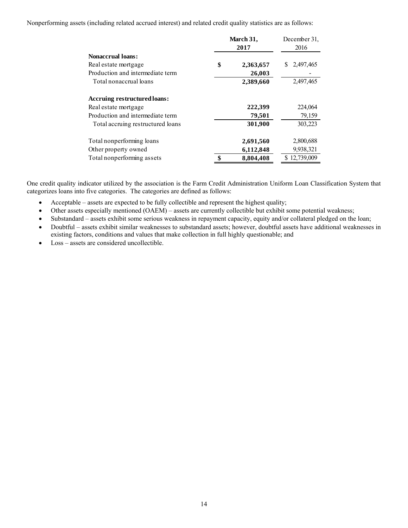Nonperforming assets (including related accrued interest) and related credit quality statistics are as follows:

|                                   | March 31, |           | December 31.<br>2016 |
|-----------------------------------|-----------|-----------|----------------------|
|                                   |           | 2017      |                      |
| <b>Nonaccrual loans:</b>          |           |           |                      |
| Real estate mortgage              | \$        | 2,363,657 | 2,497,465<br>S.      |
| Production and intermediate term  |           | 26,003    |                      |
| Total nonaccrual loans            |           | 2,389,660 | 2,497,465            |
| Accruing restructured loans:      |           |           |                      |
| Real estate mortgage              |           | 222,399   | 224,064              |
| Production and intermediate term  |           | 79,501    | 79,159               |
| Total accruing restructured loans |           | 301,900   | 303,223              |
| Total nonperforming loans         |           | 2,691,560 | 2,800,688            |
| Other property owned              |           | 6,112,848 | 9,938,321            |
| Total nonperforming assets        | \$        | 8,804,408 | \$12,739,009         |

One credit quality indicator utilized by the association is the Farm Credit Administration Uniform Loan Classification System that categorizes loans into five categories. The categories are defined as follows:

- Acceptable assets are expected to be fully collectible and represent the highest quality;
- Other assets especially mentioned (OAEM) assets are currently collectible but exhibit some potential weakness;
- Substandard assets exhibit some serious weakness in repayment capacity, equity and/or collateral pledged on the loan;
- Doubtful assets exhibit similar weaknesses to substandard assets; however, doubtful assets have additional weaknesses in existing factors, conditions and values that make collection in full highly questionable; and
- Loss assets are considered uncollectible.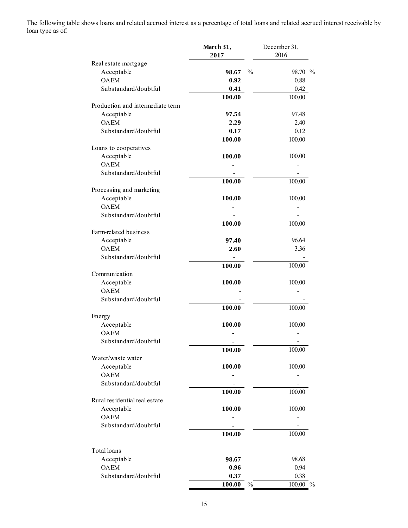The following table shows loans and related accrued interest as a percentage of total loans and related accrued interest receivable by loan type as of:

|                                  | March 31,<br>2017       | December 31,<br>2016 |
|----------------------------------|-------------------------|----------------------|
| Real estate mortgage             |                         |                      |
| Acceptable                       | $\frac{0}{0}$<br>98.67  | 98.70 %              |
| <b>OAEM</b>                      | 0.92                    | 0.88                 |
| Substandard/doubtful             | 0.41                    | 0.42                 |
|                                  | 100.00                  | 100.00               |
| Production and intermediate term |                         |                      |
| Acceptable                       | 97.54                   | 97.48                |
| <b>OAEM</b>                      | 2.29                    | 2.40                 |
| Substandard/doubtful             | 0.17                    | 0.12                 |
|                                  | 100.00                  | 100.00               |
| Loans to cooperatives            |                         |                      |
| Acceptable                       | 100.00                  | 100.00               |
| <b>OAEM</b>                      |                         |                      |
| Substandard/doubtful             |                         |                      |
|                                  | 100.00                  | 100.00               |
| Processing and marketing         |                         |                      |
| Acceptable                       | 100.00                  | 100.00               |
| <b>OAEM</b>                      |                         |                      |
| Substandard/doubtful             |                         |                      |
|                                  | 100.00                  | 100.00               |
| Farm-related business            |                         |                      |
| Acceptable                       | 97.40                   | 96.64                |
| <b>OAEM</b>                      | 2.60                    | 3.36                 |
| Substandard/doubtful             |                         |                      |
|                                  | 100.00                  | 100.00               |
| Communication                    |                         |                      |
| Acceptable                       | 100.00                  | 100.00               |
| <b>OAEM</b>                      |                         |                      |
| Substandard/doubtful             |                         |                      |
|                                  | 100.00                  | 100.00               |
| Energy                           |                         |                      |
| Acceptable                       | 100.00                  | 100.00               |
| <b>OAEM</b>                      |                         |                      |
| Substandard/doubtful             |                         |                      |
|                                  | 100.00                  | 100.00               |
| Water/waste water                |                         |                      |
| Acceptable                       | 100.00                  | 100.00               |
| <b>OAEM</b>                      |                         |                      |
| Substandard/doubtful             |                         |                      |
|                                  | 100.00                  | 100.00               |
| Rural residential real estate    |                         |                      |
| Acceptable                       | 100.00                  | 100.00               |
| <b>OAEM</b>                      |                         |                      |
| Substandard/doubtful             |                         |                      |
|                                  | 100.00                  | 100.00               |
|                                  |                         |                      |
| Total loans                      |                         |                      |
| Acceptable                       | 98.67                   | 98.68                |
| <b>OAEM</b>                      | 0.96                    | 0.94                 |
| Substandard/doubtful             | 0.37                    | 0.38                 |
|                                  | 100.00<br>$\frac{0}{0}$ | 100.00 %             |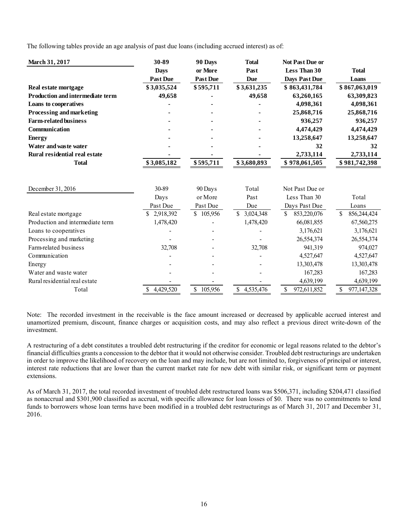The following tables provide an age analysis of past due loans (including accrued interest) as of:

| March 31, 2017                   | 30-89           | 90 Days         | <b>Total</b>     | <b>Not Past Due or</b> |                     |
|----------------------------------|-----------------|-----------------|------------------|------------------------|---------------------|
|                                  | <b>Days</b>     | or More         | Past             | Less Than 30           | <b>Total</b>        |
|                                  | <b>Past Due</b> | <b>Past Due</b> | <b>Due</b>       | <b>Days Past Due</b>   | Loans               |
| Real estate mortgage             | \$3,035,524     | \$595,711       | \$3,631,235      | \$863,431,784          | \$867,063,019       |
| Production and intermediate term | 49,658          |                 | 49,658           | 63,260,165             | 63,309,823          |
| Loans to cooperatives            |                 |                 |                  | 4,098,361              | 4,098,361           |
| <b>Processing and marketing</b>  |                 |                 |                  | 25,868,716             | 25,868,716          |
| <b>Farm-related business</b>     |                 |                 |                  | 936,257                | 936,257             |
| Communication                    |                 |                 |                  | 4,474,429              | 4,474,429           |
| <b>Energy</b>                    |                 |                 |                  | 13,258,647             | 13,258,647          |
| Water and waste water            |                 |                 |                  | 32                     | 32                  |
| Rural residential real estate    |                 |                 |                  | 2,733,114              | 2,733,114           |
| <b>Total</b>                     | \$3,085,182     | \$595,711       | \$3,680,893      | \$978,061,505          | \$981,742,398       |
| December 31, 2016                | 30-89           | 90 Days         | Total            | Not Past Due or        |                     |
|                                  | Days            | or More         | Past             | Less Than 30           | Total               |
|                                  | Past Due        | Past Due        | Due              | Days Past Due          | Loans               |
| Real estate mortgage             | \$2,918,392     | \$105,956       | \$.<br>3,024,348 | \$<br>853,220,076      | S<br>856,244,424    |
| Production and intermediate term | 1,478,420       |                 | 1,478,420        | 66,081,855             | 67,560,275          |
| Loans to cooperatives            |                 |                 |                  | 3,176,621              | 3,176,621           |
| Processing and marketing         |                 |                 |                  | 26,554,374             | 26,554,374          |
| Farm-related business            | 32,708          |                 | 32,708           | 941,319                | 974,027             |
| Communication                    |                 |                 |                  | 4,527,647              | 4,527,647           |
| Energy                           |                 |                 |                  | 13,303,478             | 13,303,478          |
| Water and waste water            |                 |                 |                  | 167,283                | 167,283             |
| Rural residential real estate    |                 |                 |                  | 4,639,199              | 4,639,199           |
| Total                            | \$4,429,520     | \$105,956       | 4,535,476<br>\$  | 972,611,852<br>\$      | \$<br>977, 147, 328 |

Note: The recorded investment in the receivable is the face amount increased or decreased by applicable accrued interest and unamortized premium, discount, finance charges or acquisition costs, and may also reflect a previous direct write-down of the investment.

A restructuring of a debt constitutes a troubled debt restructuring if the creditor for economic or legal reasons related to the debtor's financial difficulties grants a concession to the debtor that it would not otherwise consider. Troubled debt restructurings are undertaken in order to improve the likelihood of recovery on the loan and may include, but are not limited to, forgiveness of principal or interest, interest rate reductions that are lower than the current market rate for new debt with similar risk, or significant term or payment extensions.

As of March 31, 2017, the total recorded investment of troubled debt restructured loans was \$506,371, including \$204,471 classified as nonaccrual and \$301,900 classified as accrual, with specific allowance for loan losses of \$0. There was no commitments to lend funds to borrowers whose loan terms have been modified in a troubled debt restructurings as of March 31, 2017 and December 31, 2016.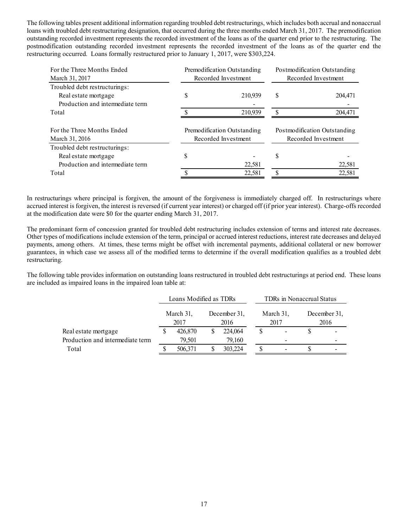The following tables present additional information regarding troubled debt restructurings, which includes both accrual and nonaccrual loans with troubled debt restructuring designation, that occurred during the three months ended March 31, 2017. The premodification outstanding recorded investment represents the recorded investment of the loans as of the quarter end prior to the restructuring. The postmodification outstanding recorded investment represents the recorded investment of the loans as of the quarter end the restructuring occurred. Loans formally restructured prior to January 1, 2017, were \$303,224.

| For the Three Months Ended<br>March 31, 2017 |    | Premodification Outstanding<br>Recorded Investment | Postmodification Outstanding<br>Recorded Investment |                                                     |  |
|----------------------------------------------|----|----------------------------------------------------|-----------------------------------------------------|-----------------------------------------------------|--|
| Troubled debt restructurings:                |    |                                                    |                                                     |                                                     |  |
| Real estate mortgage                         | S  | 210,939                                            | S                                                   | 204,471                                             |  |
| Production and intermediate term             |    |                                                    |                                                     |                                                     |  |
| Total                                        |    | 210,939                                            |                                                     | 204,471                                             |  |
| For the Three Months Ended<br>March 31, 2016 |    | Premodification Outstanding<br>Recorded Investment |                                                     | Postmodification Outstanding<br>Recorded Investment |  |
| Troubled debt restructurings:                |    |                                                    |                                                     |                                                     |  |
| Real estate mortgage                         | \$ |                                                    | \$                                                  |                                                     |  |
| Production and intermediate term             |    | 22,581                                             |                                                     | 22,581                                              |  |
| Total                                        |    | 22,581                                             | S                                                   | 22,581                                              |  |

In restructurings where principal is forgiven, the amount of the forgiveness is immediately charged off. In restructurings where accrued interest is forgiven, the interest is reversed (if current year interest) or charged off (if prior year interest). Charge-offs recorded at the modification date were \$0 for the quarter ending March 31, 2017.

The predominant form of concession granted for troubled debt restructuring includes extension of terms and interest rate decreases. Other types of modifications include extension of the term, principal or accrued interest reductions, interest rate decreases and delayed payments, among others. At times, these terms might be offset with incremental payments, additional collateral or new borrower guarantees, in which case we assess all of the modified terms to determine if the overall modification qualifies as a troubled debt restructuring.

The following table provides information on outstanding loans restructured in troubled debt restructurings at period end. These loans are included as impaired loans in the impaired loan table at:

|                                  | Loans Modified as TDRs |                   |  |                      | TDRs in Nonaccrual Status |  |                      |  |
|----------------------------------|------------------------|-------------------|--|----------------------|---------------------------|--|----------------------|--|
|                                  |                        | March 31.<br>2017 |  | December 31.<br>2016 | March 31.<br>2017         |  | December 31,<br>2016 |  |
| Real estate mortgage             |                        | 426,870           |  | 224,064              |                           |  |                      |  |
| Production and intermediate term |                        | 79.501            |  | 79,160               |                           |  |                      |  |
| Total                            |                        | 506.371           |  | 303.224              |                           |  |                      |  |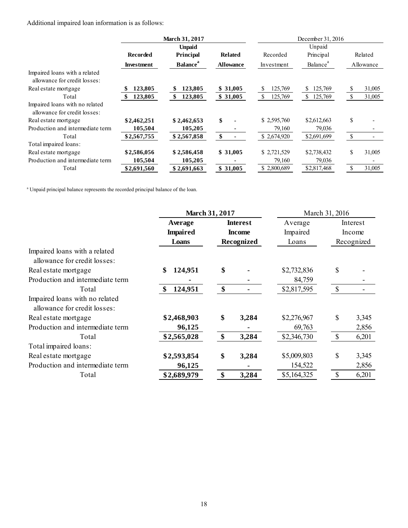Additional impaired loan information is as follows:

|                                                                |                   | March 31, 2017              |                                |              | December 31, 2016    |              |           |  |  |
|----------------------------------------------------------------|-------------------|-----------------------------|--------------------------------|--------------|----------------------|--------------|-----------|--|--|
|                                                                |                   | <b>Unpaid</b>               |                                | Unpaid       |                      |              |           |  |  |
|                                                                | <b>Recorded</b>   | Principal                   | <b>Related</b>                 | Recorded     | Principal            |              | Related   |  |  |
|                                                                | <b>Investment</b> | <b>Balance</b> <sup>a</sup> | <b>Allowance</b>               | Investment   | Balance <sup>a</sup> |              | Allowance |  |  |
| Impaired loans with a related<br>allowance for credit losses:  |                   |                             |                                |              |                      |              |           |  |  |
| Real estate mortgage                                           | 123,805           | 123,805                     | \$31,005                       | 125,769      | 125,769<br>\$        | \$           | 31,005    |  |  |
| Total                                                          | 123,805           | 123,805                     | \$31,005                       | 125,769      | \$<br>125,769        | \$           | 31,005    |  |  |
| Impaired loans with no related<br>allowance for credit losses: |                   |                             |                                |              |                      |              |           |  |  |
| Real estate mortgage                                           | \$2,462,251       | \$2,462,653                 | \$<br>$\overline{\phantom{a}}$ | \$2,595,760  | \$2,612,663          | $\mathbb{S}$ |           |  |  |
| Production and intermediate term                               | 105,504           | 105,205                     |                                | 79,160       | 79,036               |              |           |  |  |
| Total                                                          | \$2,567,755       | \$2,567,858                 | \$                             | \$2,674,920  | \$2,691,699          | $\mathbb{S}$ |           |  |  |
| Total impaired loans:                                          |                   |                             |                                |              |                      |              |           |  |  |
| Real estate mortgage                                           | \$2,586,056       | \$2,586,458                 | \$31,005                       | \$ 2,721,529 | \$2,738,432          | \$           | 31,005    |  |  |
| Production and intermediate term                               | 105,504           | 105,205                     |                                | 79,160       | 79,036               |              |           |  |  |
| Total                                                          | \$2,691,560       | \$2,691,663                 | \$31,005                       | \$2,800,689  | \$2,817,468          | \$           | 31,005    |  |  |

<sup>a</sup> Unpaid principal balance represents the recorded principal balance of the loan.

|                                  |                 | March 31, 2017  | March 31, 2016 |                        |  |  |
|----------------------------------|-----------------|-----------------|----------------|------------------------|--|--|
|                                  | Average         | <b>Interest</b> | Average        | Interest               |  |  |
|                                  | <b>Impaired</b> | <b>Income</b>   | Impaired       | Income                 |  |  |
|                                  | Loans           | Recognized      | Loans          | Recognized             |  |  |
| Impaired loans with a related    |                 |                 |                |                        |  |  |
| allowance for credit losses:     |                 |                 |                |                        |  |  |
| Real estate mortgage             | \$<br>124,951   | \$              | \$2,732,836    | $\mathbb{S}$           |  |  |
| Production and intermediate term |                 |                 | 84,759         |                        |  |  |
| Total                            | 124,951<br>\$   | \$              | \$2,817,595    | $\mathbb{S}$           |  |  |
| Impaired loans with no related   |                 |                 |                |                        |  |  |
| allowance for credit losses:     |                 |                 |                |                        |  |  |
| Real estate mortgage             | \$2,468,903     | \$<br>3,284     | \$2,276,967    | \$<br>3,345            |  |  |
| Production and intermediate term | 96,125          |                 | 69,763         | 2,856                  |  |  |
| Total                            | \$2,565,028     | \$<br>3,284     | \$2,346,730    | $\mathcal{S}$<br>6,201 |  |  |
| Total impaired loans:            |                 |                 |                |                        |  |  |
| Real estate mortgage             | \$2,593,854     | \$<br>3,284     | \$5,009,803    | \$<br>3,345            |  |  |
| Production and intermediate term | 96,125          |                 | 154,522        | 2,856                  |  |  |
| Total                            | \$2,689,979     | \$<br>3,284     | \$5,164,325    | \$<br>6,201            |  |  |
|                                  |                 |                 |                |                        |  |  |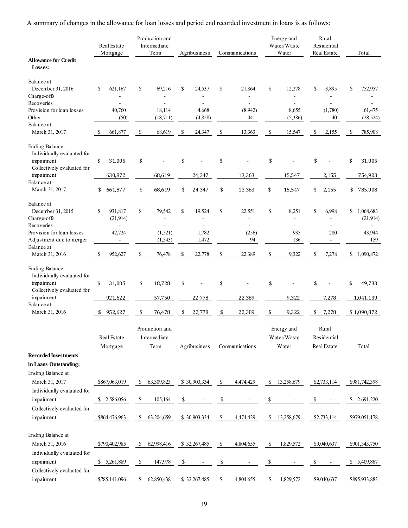A summary of changes in the allowance for loan losses and period end recorded investment in loans is as follows:

|                                                                                           | Real Estate<br>Mortgage          | Production and<br>Intermediate<br>Term | Agribusiness                                               | Communications    | Energy and<br>Water/Waste<br>Water            | Rural<br>Residential<br>Real Estate     | Total                             |
|-------------------------------------------------------------------------------------------|----------------------------------|----------------------------------------|------------------------------------------------------------|-------------------|-----------------------------------------------|-----------------------------------------|-----------------------------------|
| <b>Allowance for Credit</b><br>Losses:                                                    |                                  |                                        |                                                            |                   |                                               |                                         |                                   |
| Balance at<br>December 31, 2016<br>Charge-offs                                            | \$<br>621,167                    | \$<br>69,216                           | \$<br>24,537<br>$\overline{a}$                             | \$<br>21,864      | \$<br>12,278                                  | \$<br>3,895                             | \$<br>752,957                     |
| Recoveries<br>Provision for loan losses<br>Other                                          | 40,760<br>(50)                   | 18,114<br>(18, 711)                    | 4,668<br>(4,858)                                           | (8,942)<br>441    | 8,655<br>(5,386)                              | (1,780)<br>40                           | 61,475<br>(28, 524)               |
| Balance at<br>March 31, 2017                                                              | -S<br>661,877                    | \$<br>68,619                           | \$<br>24,347                                               | \$<br>13,363      | \$<br>15,547                                  | \$<br>2,155                             | \$<br>785,908                     |
| Ending Balance:<br>Individually evaluated for<br>impairment<br>Collectively evaluated for | \$<br>31,005                     | \$                                     | \$                                                         | \$                | \$                                            | \$                                      | \$<br>31,005                      |
| impairment                                                                                | 630,872                          | 68,619                                 | 24,347                                                     | 13,363            | 15,547                                        | 2,155                                   | 754,903                           |
| Balance at<br>March 31, 2017                                                              | 661,877<br>\$                    | \$<br>68,619                           | \$<br>24,347                                               | \$<br>13,363      | \$<br>15,547                                  | \$<br>2,155                             | \$<br>785,908                     |
| Balance at<br>December 31, 2015<br>Charge-offs<br>Recoveries                              | \$<br>931,817<br>(21, 914)<br>÷, | \$<br>79,542<br>$\overline{a}$         | \$<br>19,524<br>$\overline{a}$<br>$\overline{\phantom{a}}$ | \$<br>22,551<br>÷ | \$<br>8,251<br>÷,<br>$\overline{\phantom{m}}$ | \$<br>6,998<br>$\sim$<br>$\overline{a}$ | \$<br>1,068,683<br>(21, 914)<br>۰ |
| Provision for loan losses<br>Adjustment due to merger<br>Balance at                       | 42,724<br>÷,                     | (1,521)<br>(1, 543)                    | 1,782<br>1,472                                             | (256)<br>94       | 935<br>136                                    | 280<br>$\overline{\phantom{a}}$         | 43,944<br>159                     |
| March 31, 2016                                                                            | 952,627<br>S                     | \$<br>76,478                           | 22,778<br>-S                                               | 22,389<br>\$.     | 9,322<br>S                                    | 7,278<br>-S                             | \$1,090,872                       |
| Ending Balance:<br>Individually evaluated for<br>impairment                               | \$<br>31,005                     | \$<br>18,728                           | \$                                                         | \$                | \$                                            | \$                                      | \$<br>49,733                      |
| Collectively evaluated for<br>impairment                                                  | 921,622                          | 57,750                                 | 22,778                                                     | 22,389            | 9,322                                         | 7,278                                   | 1,041,139                         |
| Balance at<br>March 31, 2016                                                              | 952,627                          | \$<br>76,478                           | 22,778<br>\$                                               | 22,389<br>\$      | \$<br>9,322                                   | 7,278<br>\$                             | \$1,090,872                       |
|                                                                                           | Real Estate<br>Mortgage          | Production and<br>Intermediate<br>Term | Agribusiness                                               | Communications    | Energy and<br>Water/Waste<br>Water            | Rural<br>Residential<br>Real Estate     | Total                             |
| <b>Recorded Investments</b><br>in Loans Outstanding:                                      |                                  |                                        |                                                            |                   |                                               |                                         |                                   |
| Ending Balance at<br>March 31, 2017                                                       | \$867,063,019                    | \$<br>63,309,823                       | \$30,903,334                                               | \$<br>4,474,429   | 13,258,679<br>\$                              | \$2,733,114                             | \$981,742,398                     |
| Individually evaluated for<br>impairment                                                  | \$2,586,056                      | \$<br>105,164                          | \$                                                         | \$                | \$                                            |                                         | \$<br>2,691,220                   |
| Collectively evaluated for<br>impairment                                                  | \$864,476,963                    | \$<br>63,204,659                       | \$ 30,903,334                                              | \$<br>4,474,429   | \$<br>13,258,679                              | \$2,733,114                             | \$979,051,178                     |
| Ending Balance at<br>March 31, 2016                                                       | \$790,402,985                    | 62,998,416<br>S.                       | \$32,267,485                                               | -S<br>4,804,655   | S<br>1,829,572                                | \$9,040,637                             | \$901,343,750                     |
| Individually evaluated for<br>impairment                                                  | \$5,261,889                      | $\mathbb{S}$<br>147,978                | \$                                                         | \$                | \$                                            | S                                       | \$ 5,409,867                      |
| Collectively evaluated for<br>impairment                                                  | \$785,141,096                    | 62,850,438<br>\$                       | \$32,267,485                                               | \$<br>4,804,655   | \$<br>1,829,572                               | \$9,040,637                             | \$895,933,883                     |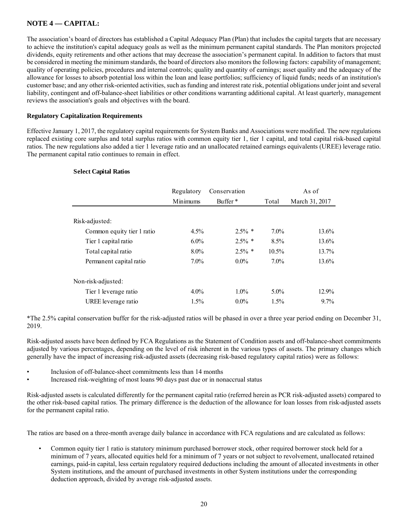# **NOTE 4 –– CAPITAL:**

The association's board of directors has established a Capital Adequacy Plan (Plan) that includes the capital targets that are necessary to achieve the institution's capital adequacy goals as well as the minimum permanent capital standards. The Plan monitors projected dividends, equity retirements and other actions that may decrease the association's permanent capital. In addition to factors that must be considered in meeting the minimum standards, the board of directors also monitors the following factors: capability of management; quality of operating policies, procedures and internal controls; quality and quantity of earnings; asset quality and the adequacy of the allowance for losses to absorb potential loss within the loan and lease portfolios; sufficiency of liquid funds; needs of an institution's customer base; and any other risk-oriented activities, such as funding and interest rate risk, potential obligations under joint and several liability, contingent and off-balance-sheet liabilities or other conditions warranting additional capital. At least quarterly, management reviews the association's goals and objectives with the board.

# **Regulatory Capitalization Requirements**

Effective January 1, 2017, the regulatory capital requirements for System Banks and Associations were modified. The new regulations replaced existing core surplus and total surplus ratios with common equity tier 1, tier 1 capital, and total capital risk-based capital ratios. The new regulations also added a tier 1 leverage ratio and an unallocated retained earnings equivalents (UREE) leverage ratio. The permanent capital ratio continues to remain in effect.

#### **Select Capital Ratios**

|                            | Regulatory | Conservation        |          | As of          |
|----------------------------|------------|---------------------|----------|----------------|
|                            | Minimums   | Buffer <sup>*</sup> | Total    | March 31, 2017 |
|                            |            |                     |          |                |
| Risk-adjusted:             |            |                     |          |                |
| Common equity tier 1 ratio | $4.5\%$    | $2.5\%$ *           | $7.0\%$  | 13.6%          |
| Tier 1 capital ratio       | $6.0\%$    | $2.5\%$ *           | $8.5\%$  | 13.6%          |
| Total capital ratio        | $8.0\%$    | $2.5\%$ *           | $10.5\%$ | 13.7%          |
| Permanent capital ratio    | $7.0\%$    | $0.0\%$             | $7.0\%$  | 13.6%          |
| Non-risk-adjusted:         |            |                     |          |                |
| Tier 1 leverage ratio      | $4.0\%$    | $1.0\%$             | $5.0\%$  | 12.9%          |
| UREE leverage ratio        | $1.5\%$    | $0.0\%$             | $1.5\%$  | $9.7\%$        |

\*The 2.5% capital conservation buffer for the risk-adjusted ratios will be phased in over a three year period ending on December 31, 2019.

Risk-adjusted assets have been defined by FCA Regulations as the Statement of Condition assets and off-balance-sheet commitments adjusted by various percentages, depending on the level of risk inherent in the various types of assets. The primary changes which generally have the impact of increasing risk-adjusted assets (decreasing risk-based regulatory capital ratios) were as follows:

- Inclusion of off-balance-sheet commitments less than 14 months
- Increased risk-weighting of most loans 90 days past due or in nonaccrual status

Risk-adjusted assets is calculated differently for the permanent capital ratio (referred herein as PCR risk-adjusted assets) compared to the other risk-based capital ratios. The primary difference is the deduction of the allowance for loan losses from risk-adjusted assets for the permanent capital ratio.

The ratios are based on a three-month average daily balance in accordance with FCA regulations and are calculated as follows:

• Common equity tier 1 ratio is statutory minimum purchased borrower stock, other required borrower stock held for a minimum of 7 years, allocated equities held for a minimum of 7 years or not subject to revolvement, unallocated retained earnings, paid-in capital, less certain regulatory required deductions including the amount of allocated investments in other System institutions, and the amount of purchased investments in other System institutions under the corresponding deduction approach, divided by average risk-adjusted assets.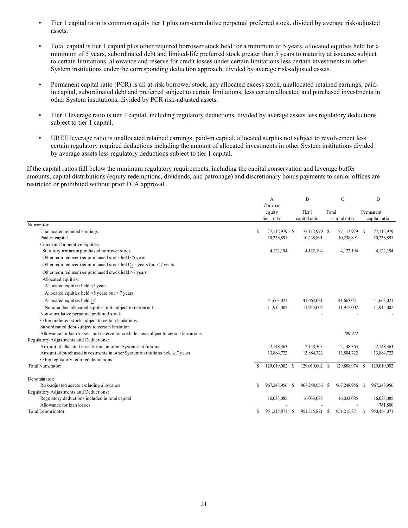- Tier 1 capital ratio is common equity tier 1 plus non-cumulative perpetual preferred stock, divided by average risk-adjusted assets.
- Total capital is tier 1 capital plus other required borrower stock held for a minimum of 5 years, allocated equities held for a minimum of 5 years, subordinated debt and limited-life preferred stock greater than 5 years to maturity at issuance subject to certain limitations, allowance and reserve for credit losses under certain limitations less certain investments in other System institutions under the corresponding deduction approach, divided by average risk-adjusted assets.
- Permanent capital ratio (PCR) is all at-risk borrower stock, any allocated excess stock, unallocated retained earnings, paidin capital, subordinated debt and preferred subject to certain limitations, less certain allocated and purchased investments in other System institutions, divided by PCR risk-adjusted assets.
- Tier 1 leverage ratio is tier 1 capital, including regulatory deductions, divided by average assets less regulatory deductions subject to tier 1 capital.
- UREE leverage ratio is unallocated retained earnings, paid-in capital, allocated surplus not subject to revolvement less certain regulatory required deductions including the amount of allocated investments in other System institutions divided by average assets less regulatory deductions subject to tier 1 capital.

If the capital ratios fall below the minimum regulatory requirements, including the capital conservation and leverage buffer amounts, capital distributions (equity redemptions, dividends, and patronage) and discretionary bonus payments to senior offices are restricted or prohibited without prior FCA approval.

|                                                                                        |    | A                      |    | B                       |       | C              |    | D                          |
|----------------------------------------------------------------------------------------|----|------------------------|----|-------------------------|-------|----------------|----|----------------------------|
|                                                                                        |    | Common                 |    |                         |       |                |    |                            |
|                                                                                        |    | equity<br>tier 1 ratio |    | Tier 1<br>capital ratio | Total | capital ratio  |    | Permanent<br>capital ratio |
| Numerator:                                                                             |    |                        |    |                         |       |                |    |                            |
| Unallocated retained earnings                                                          | S  | 77,112,979 \$          |    | 77,112,979 \$           |       | 77,112,979 \$  |    | 77,112,979                 |
| Paid-in capital                                                                        |    | 10,238,891             |    | 10,238,891              |       | 10,238,891     |    | 10,238,891                 |
| Common Cooperative Equities:                                                           |    |                        |    |                         |       |                |    |                            |
| Statutory minimum purchased borrower stock                                             |    | 4,122,194              |    | 4,122,194               |       | 4,122,194      |    | 4,122,194                  |
| Other required member purchased stock held $<$ years                                   |    |                        |    |                         |       |                |    |                            |
| Other required member purchased stock held $>$ 5 years but $<$ 7 years                 |    |                        |    |                         |       |                |    |                            |
| Other required member purchased stock held >7 years                                    |    |                        |    |                         |       |                |    |                            |
| Allocated equities:                                                                    |    |                        |    |                         |       |                |    |                            |
| Allocated equities held <5 years                                                       |    |                        |    |                         |       |                |    |                            |
| Allocated equities held $>5$ years but $< 7$ years                                     |    |                        |    |                         |       |                |    |                            |
| Allocated equities held >7                                                             |    | 41,663,021             |    | 41,663,021              |       | 41,663,021     |    | 41,663,021                 |
| Nonqualified allocated equities not subject to retirement                              |    | 11,915,002             |    | 11,915,002              |       | 11,915,002     |    | 11,915,002                 |
| Non-cumulative perpetual preferred stock                                               |    |                        |    |                         |       |                |    |                            |
| Other preferred stock subject to certain limitations                                   |    |                        |    |                         |       |                |    |                            |
| Subordinated debt subject to certain limitation                                        |    |                        |    |                         |       |                |    |                            |
| Allowance for loan losses and reserve for credit losses subject to certain limitations |    |                        |    |                         |       | 789,972        |    |                            |
| Regulatory Adjustments and Deductions:                                                 |    |                        |    |                         |       |                |    |                            |
| Amount of allocated investments in other System institutions                           |    | 2,148,363              |    | 2,148,363               |       | 2,148,363      |    | 2,148,363                  |
| Amount of purchased investments in other System institutions held $\geq$ 7 years       |    | 13,884,722             |    | 13,884,722              |       | 13,884,722     |    | 13,884,722                 |
| Other regulatory required deductions                                                   |    |                        |    |                         |       |                |    |                            |
| Total Numerator:                                                                       | £. | 129,019,002 \$         |    | 129,019,002 \$          |       | 129,808,974 \$ |    | 129,019,002                |
| Denominator:                                                                           |    |                        |    |                         |       |                |    |                            |
| Risk-adjusted assets excluding allowance                                               | S. | 967,248,956 \$         |    | 967,248,956 \$          |       | 967,248,956    | -S | 967,248,956                |
| Regulatory Adjustments and Deductions:                                                 |    |                        |    |                         |       |                |    |                            |
| Regulatory deductions included in total capital                                        |    | 16,033,085             |    | 16,033,085              |       | 16,033,085     |    | 16,033,085                 |
| Allowance for loan losses                                                              |    |                        |    |                         |       |                |    | 761,800                    |
| Total Denominator:                                                                     |    | 951,215,871            | -S | 951,215,871             | -S    | 951,215,871    |    | 950,454,071                |
|                                                                                        |    |                        |    |                         |       |                |    |                            |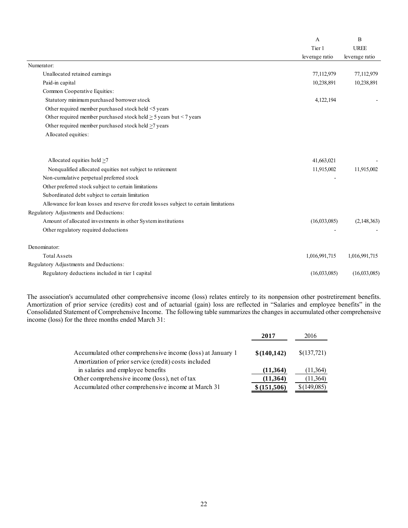|                                                                                        | A              | B              |
|----------------------------------------------------------------------------------------|----------------|----------------|
|                                                                                        | Tier 1         | <b>UREE</b>    |
|                                                                                        | leverage ratio | leverage ratio |
| Numerator:                                                                             |                |                |
| Unallocated retained earnings                                                          | 77,112,979     | 77,112,979     |
| Paid-in capital                                                                        | 10,238,891     | 10,238,891     |
| Common Cooperative Equities:                                                           |                |                |
| Statutory minimum purchased borrower stock                                             | 4,122,194      |                |
| Other required member purchased stock held <5 years                                    |                |                |
| Other required member purchased stock held $\geq$ 5 years but < 7 years                |                |                |
| Other required member purchased stock held $\geq$ 7 years                              |                |                |
| Allocated equities:                                                                    |                |                |
| Allocated equities held $\geq$ 7                                                       | 41,663,021     |                |
| Nonqualified allocated equities not subject to retirement                              | 11,915,002     | 11,915,002     |
| Non-cumulative perpetual preferred stock                                               |                |                |
| Other preferred stock subject to certain limitations                                   |                |                |
| Subordinated debt subject to certain limitation                                        |                |                |
| Allowance for loan losses and reserve for credit losses subject to certain limitations |                |                |
| Regulatory Adjustments and Deductions:                                                 |                |                |
| Amount of allocated investments in other System institutions                           | (16,033,085)   | (2,148,363)    |
| Other regulatory required deductions                                                   |                |                |
| Denominator:                                                                           |                |                |
| <b>Total Assets</b>                                                                    | 1,016,991,715  | 1,016,991,715  |
| Regulatory Adjustments and Deductions:                                                 |                |                |
| Regulatory deductions included in tier 1 capital                                       | (16,033,085)   | (16,033,085)   |

The association's accumulated other comprehensive income (loss) relates entirely to its nonpension other postretirement benefits. Amortization of prior service (credits) cost and of actuarial (gain) loss are reflected in "Salaries and employee benefits" in the Consolidated Statement of Comprehensive Income. The following table summarizes the changes in accumulated other comprehensive income (loss) for the three months ended March 31:

|                                                            | 2017         | 2016        |
|------------------------------------------------------------|--------------|-------------|
| Accumulated other comprehensive income (loss) at January 1 | \$(140, 142) | \$(137,721) |
| Amortization of prior service (credit) costs included      |              |             |
| in salaries and employee benefits                          | (11,364)     | (11,364)    |
| Other comprehensive income (loss), net of tax              | (11,364)     | (11, 364)   |
| Accumulated other comprehensive income at March 31         | \$(151,506)  | \$(149,085) |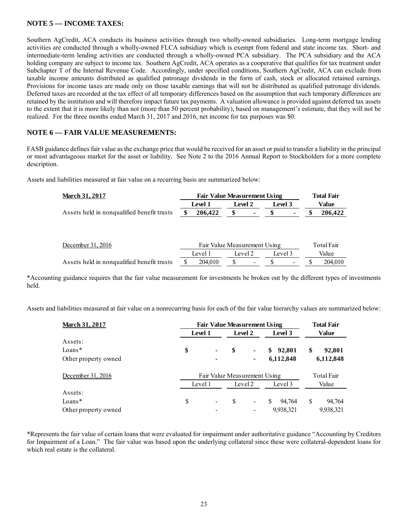# **NOTE 5 — INCOME TAXES:**

Southern AgCredit, ACA conducts its business activities through two wholly-owned subsidiaries. Long-term mortgage lending activities are conducted through a wholly-owned FLCA subsidiary which is exempt from federal and state income tax. Short- and intermediate-term lending activities are conducted through a wholly-owned PCA subsidiary. The PCA subsidiary and the ACA holding company are subject to income tax. Southern AgCredit, ACA operates as a cooperative that qualifies for tax treatment under Subchapter T of the Internal Revenue Code. Accordingly, under specified conditions, Southern AgCredit, ACA can exclude from taxable income amounts distributed as qualified patronage dividends in the form of cash, stock or allocated retained earnings. Provisions for income taxes are made only on those taxable earnings that will not be distributed as qualified patronage dividends. Deferred taxes are recorded at the tax effect of all temporary differences based on the assumption that such temporary differences are retained by the institution and will therefore impact future tax payments. A valuation allowance is provided against deferred tax assets to the extent that it is more likely than not (more than 50 percent probability), based on management's estimate, that they will not be realized. For the three months ended March 31, 2017 and 2016, net income for tax purposes was \$0.

# **NOTE 6 — FAIR VALUE MEASUREMENTS:**

FASB guidance defines fair value as the exchange price that would be received for an asset or paid to transfer a liability in the principal or most advantageous market for the asset or liability. See Note 2 to the 2016 Annual Report to Stockholders for a more complete description.

Assets and liabilities measured at fair value on a recurring basis are summarized below:

| <b>March 31, 2017</b>                      |     | <b>Fair Value Measurement Using</b> |               |         |  | Total Fair |         |  |  |
|--------------------------------------------|-----|-------------------------------------|---------------|---------|--|------------|---------|--|--|
|                                            |     | Level 1                             | Level 2       | Level 3 |  | Value      |         |  |  |
| Assets held in nonqualified benefit trusts | SS. | 206.422                             | $\sim$ $\sim$ |         |  |            | 206.422 |  |  |

| December 31, 2016                                                  | Fair Value Measurement Using | Total Fair - |  |         |  |  |         |  |  |
|--------------------------------------------------------------------|------------------------------|--------------|--|---------|--|--|---------|--|--|
|                                                                    | Level 2<br>Level 1           |              |  | Level 3 |  |  | Value   |  |  |
| Assets held in nonqualified benefit trusts \$ 204,010 \$ - \$ - \$ |                              |              |  |         |  |  | 204.010 |  |  |

\*Accounting guidance requires that the fair value measurement for investments be broken out by the different types of investments held.

Assets and liabilities measured at fair value on a nonrecurring basis for each of the fair value hierarchy values are summarized below:

| March 31, 2017       | <b>Fair Value Measurement Using</b> |                          |         |                          |              | <b>Total Fair</b> |           |
|----------------------|-------------------------------------|--------------------------|---------|--------------------------|--------------|-------------------|-----------|
|                      | Level 1                             |                          | Level 2 |                          | Level 3      | <b>Value</b>      |           |
| Assets:              |                                     |                          |         |                          |              |                   |           |
| Loans $*$            | \$                                  | ۰                        | \$      | ٠                        | \$<br>92,801 | S                 | 92,801    |
| Other property owned |                                     | ٠                        |         | ۰                        | 6,112,848    |                   | 6,112,848 |
| December 31, 2016    | Fair Value Measurement Using        |                          |         |                          |              | Total Fair        |           |
|                      | Level 1                             |                          | Level 2 |                          | Level 3      |                   | Value     |
| Assets:              |                                     |                          |         |                          |              |                   |           |
| Loans*               | \$                                  | $\overline{\phantom{a}}$ | S       | $\overline{\phantom{a}}$ | S<br>94.764  | S                 | 94,764    |
| Other property owned |                                     |                          |         |                          | 9,938,321    |                   | 9,938,321 |

\*Represents the fair value of certain loans that were evaluated for impairment under authoritative guidance "Accounting by Creditors for Impairment of a Loan." The fair value was based upon the underlying collateral since these were collateral-dependent loans for which real estate is the collateral.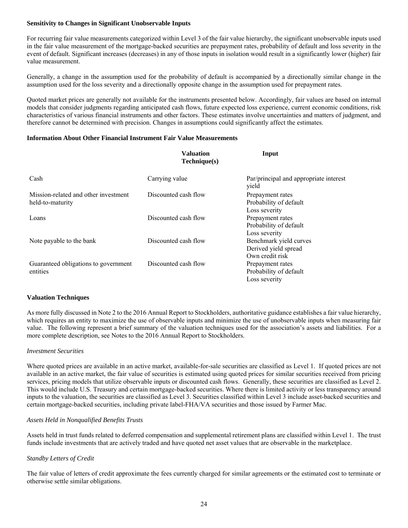# **Sensitivity to Changes in Significant Unobservable Inputs**

For recurring fair value measurements categorized within Level 3 of the fair value hierarchy, the significant unobservable inputs used in the fair value measurement of the mortgage-backed securities are prepayment rates, probability of default and loss severity in the event of default. Significant increases (decreases) in any of those inputs in isolation would result in a significantly lower (higher) fair value measurement.

Generally, a change in the assumption used for the probability of default is accompanied by a directionally similar change in the assumption used for the loss severity and a directionally opposite change in the assumption used for prepayment rates.

Quoted market prices are generally not available for the instruments presented below. Accordingly, fair values are based on internal models that consider judgments regarding anticipated cash flows, future expected loss experience, current economic conditions, risk characteristics of various financial instruments and other factors. These estimates involve uncertainties and matters of judgment, and therefore cannot be determined with precision. Changes in assumptions could significantly affect the estimates.

#### **Information About Other Financial Instrument Fair Value Measurements**

|                                                          | <b>Valuation</b><br>Technique(s) | Input                                                             |
|----------------------------------------------------------|----------------------------------|-------------------------------------------------------------------|
| Cash                                                     | Carrying value                   | Par/principal and appropriate interest<br>yield                   |
| Mission-related and other investment<br>held-to-maturity | Discounted cash flow             | Prepayment rates<br>Probability of default<br>Loss severity       |
| Loans                                                    | Discounted cash flow             | Prepayment rates<br>Probability of default<br>Loss severity       |
| Note payable to the bank                                 | Discounted cash flow             | Benchmark yield curves<br>Derived yield spread<br>Own credit risk |
| Guaranteed obligations to government<br>entities         | Discounted cash flow             | Prepayment rates<br>Probability of default<br>Loss severity       |

# **Valuation Techniques**

As more fully discussed in Note 2 to the 2016 Annual Report to Stockholders, authoritative guidance establishes a fair value hierarchy, which requires an entity to maximize the use of observable inputs and minimize the use of unobservable inputs when measuring fair value. The following represent a brief summary of the valuation techniques used for the association's assets and liabilities. For a more complete description, see Notes to the 2016 Annual Report to Stockholders.

# *Investment Securities*

Where quoted prices are available in an active market, available-for-sale securities are classified as Level 1. If quoted prices are not available in an active market, the fair value of securities is estimated using quoted prices for similar securities received from pricing services, pricing models that utilize observable inputs or discounted cash flows. Generally, these securities are classified as Level 2. This would include U.S. Treasury and certain mortgage-backed securities. Where there is limited activity or less transparency around inputs to the valuation, the securities are classified as Level 3. Securities classified within Level 3 include asset-backed securities and certain mortgage-backed securities, including private label-FHA/VA securities and those issued by Farmer Mac.

# *Assets Held in Nonqualified Benefits Trusts*

Assets held in trust funds related to deferred compensation and supplemental retirement plans are classified within Level 1. The trust funds include investments that are actively traded and have quoted net asset values that are observable in the marketplace.

# *Standby Letters of Credit*

The fair value of letters of credit approximate the fees currently charged for similar agreements or the estimated cost to terminate or otherwise settle similar obligations.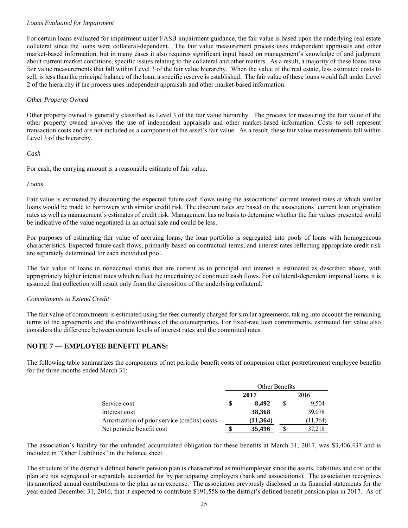# *Loans Evaluated for Impairment*

For certain loans evaluated for impairment under FASB impairment guidance, the fair value is based upon the underlying real estate collateral since the loans were collateral-dependent. The fair value measurement process uses independent appraisals and other market-based information, but in many cases it also requires significant input based on management's knowledge of and judgment about current market conditions, specific issues relating to the collateral and other matters. As a result, a majority of these loans have fair value measurements that fall within Level 3 of the fair value hierarchy. When the value of the real estate, less estimated costs to sell, is less than the principal balance of the loan, a specific reserve is established. The fair value of these loans would fall under Level 2 of the hierarchy if the process uses independent appraisals and other market-based information.

# *Other Property Owned*

Other property owned is generally classified as Level 3 of the fair value hierarchy. The process for measuring the fair value of the other property owned involves the use of independent appraisals and other market-based information. Costs to sell represent transaction costs and are not included as a component of the asset's fair value. As a result, these fair value measurements fall within Level 3 of the hierarchy.

# *Cash*

For cash, the carrying amount is a reasonable estimate of fair value.

# *Loans*

Fair value is estimated by discounting the expected future cash flows using the associations' current interest rates at which similar loans would be made to borrowers with similar credit risk. The discount rates are based on the associations' current loan origination rates as well as management's estimates of credit risk. Management has no basis to determine whether the fair values presented would be indicative of the value negotiated in an actual sale and could be less.

For purposes of estimating fair value of accruing loans, the loan portfolio is segregated into pools of loans with homogeneous characteristics. Expected future cash flows, primarily based on contractual terms, and interest rates reflecting appropriate credit risk are separately determined for each individual pool.

The fair value of loans in nonaccrual status that are current as to principal and interest is estimated as described above, with appropriately higher interest rates which reflect the uncertainty of continued cash flows. For collateral-dependent impaired loans, it is assumed that collection will result only from the disposition of the underlying collateral.

# *Commitments to Extend Credit*

The fair value of commitments is estimated using the fees currently charged for similar agreements, taking into account the remaining terms of the agreements and the creditworthiness of the counterparties. For fixed-rate loan commitments, estimated fair value also considers the difference between current levels of interest rates and the committed rates.

# **NOTE 7 — EMPLOYEE BENEFIT PLANS:**

The following table summarizes the components of net periodic benefit costs of nonpension other postretirement employee benefits for the three months ended March 31:

|                                               | Other Benefits |           |      |         |  |
|-----------------------------------------------|----------------|-----------|------|---------|--|
|                                               | 2017           |           | 2016 |         |  |
| Service cost                                  | S              | 8.492     |      | 9,504   |  |
| Interest cost                                 |                | 38,368    |      | 39,078  |  |
| Amortization of prior service (credits) costs |                | (11, 364) |      | 11.364) |  |
| Net periodic benefit cost                     | S              | 35,496    |      | 37,218  |  |

The association's liability for the unfunded accumulated obligation for these benefits at March 31, 2017, was \$3,406,437 and is included in "Other Liabilities" in the balance sheet.

The structure of the district's defined benefit pension plan is characterized as multiemployer since the assets, liabilities and cost of the plan are not segregated or separately accounted for by participating employers (bank and associations). The association recognizes its amortized annual contributions to the plan as an expense. The association previously disclosed in its financial statements for the year ended December 31, 2016, that it expected to contribute \$191,558 to the district's defined benefit pension plan in 2017. As of